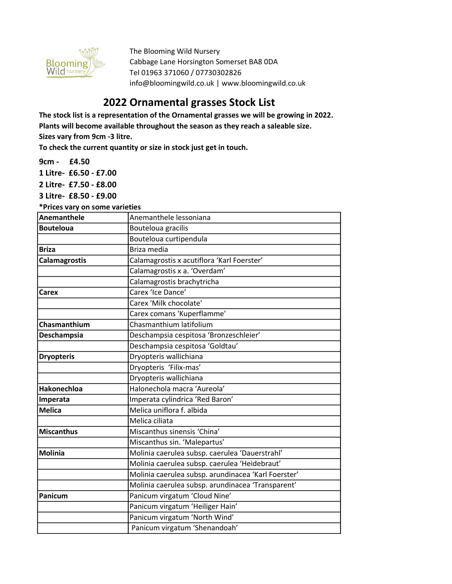

The Blooming Wild Nursery Cabbage Lane Horsington Somerset BA8 0DA Tel 01963 371060 / 07730302826 info@bloomingwild.co.uk | www.bloomingwild.co.uk

## 2022 Ornamental grasses Stock List

The stock list is a representation of the Ornamental grasses we will be growing in 2022. Plants will become available throughout the season as they reach a saleable size. Sizes vary from 9cm -3 litre.

To check the current quantity or size in stock just get in touch.

9cm - £4.50

1 Litre- £6.50 - £7.00

2 Litre- £7.50 - £8.00

3 Litre- £8.50 - £9.00

\*Prices vary on some varieties

| <b>Anemanthele</b>   | Anemanthele lessoniana                              |
|----------------------|-----------------------------------------------------|
| <b>Bouteloua</b>     | Bouteloua gracilis                                  |
|                      | Bouteloua curtipendula                              |
| <b>Briza</b>         | Briza media                                         |
| <b>Calamagrostis</b> | Calamagrostis x acutiflora 'Karl Foerster'          |
|                      | Calamagrostis x a. 'Overdam'                        |
|                      | Calamagrostis brachytricha                          |
| Carex                | Carex 'Ice Dance'                                   |
|                      | Carex 'Milk chocolate'                              |
|                      | Carex comans 'Kuperflamme'                          |
| Chasmanthium         | Chasmanthium latifolium                             |
| Deschampsia          | Deschampsia cespitosa 'Bronzeschleier'              |
|                      | Deschampsia cespitosa 'Goldtau'                     |
| <b>Dryopteris</b>    | Dryopteris wallichiana                              |
|                      | Dryopteris 'Filix-mas'                              |
|                      | Dryopteris wallichiana                              |
| <b>Hakonechloa</b>   | Halonechola macra 'Aureola'                         |
| Imperata             | Imperata cylindrica 'Red Baron'                     |
| <b>Melica</b>        | Melica uniflora f. albida                           |
|                      | Melica ciliata                                      |
| <b>Miscanthus</b>    | Miscanthus sinensis 'China'                         |
|                      | Miscanthus sin. 'Malepartus'                        |
| <b>Molinia</b>       | Molinia caerulea subsp. caerulea 'Dauerstrahl'      |
|                      | Molinia caerulea subsp. caerulea 'Heidebraut'       |
|                      | Molinia caerulea subsp. arundinacea 'Karl Foerster' |
|                      | Molinia caerulea subsp. arundinacea 'Transparent'   |
| Panicum              | Panicum virgatum 'Cloud Nine'                       |
|                      | Panicum virgatum 'Heiliger Hain'                    |
|                      | Panicum virgatum 'North Wind'                       |
|                      | Panicum virgatum 'Shenandoah'                       |